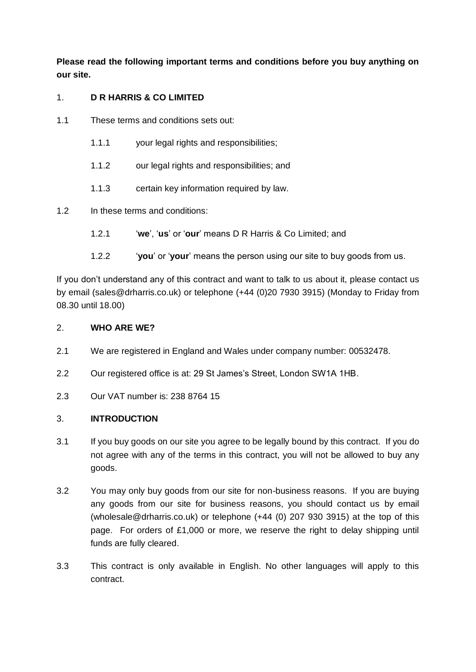**Please read the following important terms and conditions before you buy anything on our site.**

# 1. **D R HARRIS & CO LIMITED**

- 1.1 These terms and conditions sets out:
	- 1.1.1 your legal rights and responsibilities;
	- 1.1.2 our legal rights and responsibilities; and
	- 1.1.3 certain key information required by law.
- 1.2 In these terms and conditions:
	- 1.2.1 '**we**', '**us**' or '**our**' means D R Harris & Co Limited; and
	- 1.2.2 '**you**' or '**your**' means the person using our site to buy goods from us.

If you don't understand any of this contract and want to talk to us about it, please contact us by email (sales@drharris.co.uk) or telephone (+44 (0)20 7930 3915) (Monday to Friday from 08.30 until 18.00)

### 2. **WHO ARE WE?**

- 2.1 We are registered in England and Wales under company number: 00532478.
- 2.2 Our registered office is at: 29 St James's Street, London SW1A 1HB.
- 2.3 Our VAT number is: 238 8764 15

## 3. **INTRODUCTION**

- 3.1 If you buy goods on our site you agree to be legally bound by this contract. If you do not agree with any of the terms in this contract, you will not be allowed to buy any goods.
- 3.2 You may only buy goods from our site for non-business reasons.If you are buying any goods from our site for business reasons, you should contact us by email (wholesale@drharris.co.uk) or telephone (+44 (0) 207 930 3915) at the top of this page.For orders of £1,000 or more, we reserve the right to delay shipping until funds are fully cleared.
- 3.3 This contract is only available in English. No other languages will apply to this contract.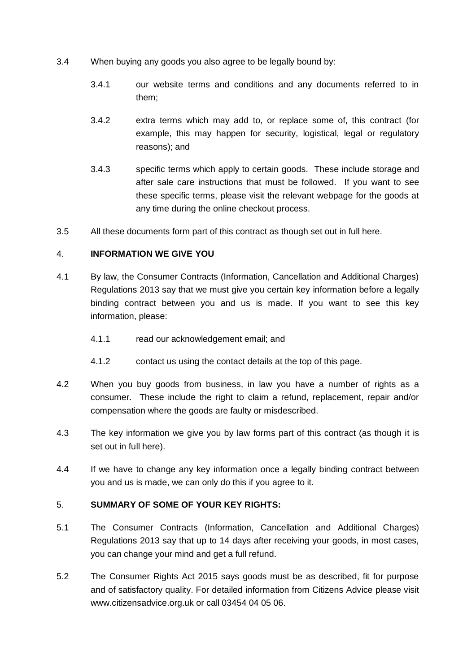- 3.4 When buying any goods you also agree to be legally bound by:
	- 3.4.1 our website terms and conditions and any documents referred to in them;
	- 3.4.2 extra terms which may add to, or replace some of, this contract (for example, this may happen for security, logistical, legal or regulatory reasons); and
	- 3.4.3 specific terms which apply to certain goods. These include storage and after sale care instructions that must be followed. If you want to see these specific terms, please visit the relevant webpage for the goods at any time during the online checkout process.
- 3.5 All these documents form part of this contract as though set out in full here.

### 4. **INFORMATION WE GIVE YOU**

- 4.1 By law, the Consumer Contracts (Information, Cancellation and Additional Charges) Regulations 2013 say that we must give you certain key information before a legally binding contract between you and us is made. If you want to see this key information, please:
	- 4.1.1 read our acknowledgement email; and
	- 4.1.2 contact us using the contact details at the top of this page.
- 4.2 When you buy goods from business, in law you have a number of rights as a consumer. These include the right to claim a refund, replacement, repair and/or compensation where the goods are faulty or misdescribed.
- 4.3 The key information we give you by law forms part of this contract (as though it is set out in full here).
- 4.4 If we have to change any key information once a legally binding contract between you and us is made, we can only do this if you agree to it.

## 5. **SUMMARY OF SOME OF YOUR KEY RIGHTS:**

- 5.1 The Consumer Contracts (Information, Cancellation and Additional Charges) Regulations 2013 say that up to 14 days after receiving your goods, in most cases, you can change your mind and get a full refund.
- 5.2 The Consumer Rights Act 2015 says goods must be as described, fit for purpose and of satisfactory quality. For detailed information from Citizens Advice please visit www.citizensadvice.org.uk or call 03454 04 05 06.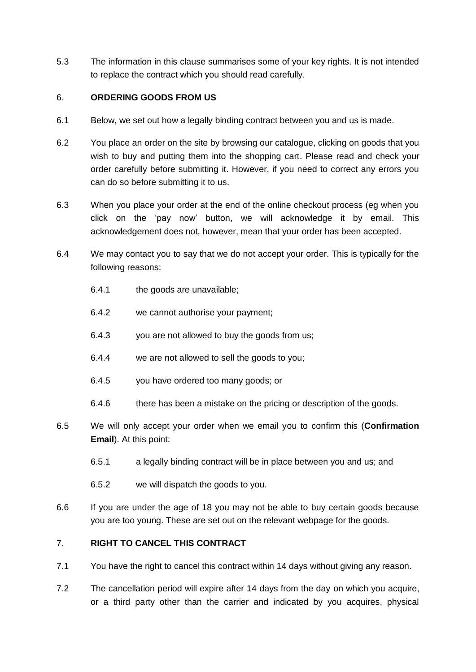5.3 The information in this clause summarises some of your key rights. It is not intended to replace the contract which you should read carefully.

## 6. **ORDERING GOODS FROM US**

- 6.1 Below, we set out how a legally binding contract between you and us is made.
- 6.2 You place an order on the site by browsing our catalogue, clicking on goods that you wish to buy and putting them into the shopping cart. Please read and check your order carefully before submitting it. However, if you need to correct any errors you can do so before submitting it to us.
- 6.3 When you place your order at the end of the online checkout process (eg when you click on the 'pay now' button, we will acknowledge it by email. This acknowledgement does not, however, mean that your order has been accepted.
- 6.4 We may contact you to say that we do not accept your order. This is typically for the following reasons:
	- 6.4.1 the goods are unavailable;
	- 6.4.2 we cannot authorise your payment;
	- 6.4.3 you are not allowed to buy the goods from us;
	- 6.4.4 we are not allowed to sell the goods to you;
	- 6.4.5 you have ordered too many goods; or
	- 6.4.6 there has been a mistake on the pricing or description of the goods.
- <span id="page-2-1"></span>6.5 We will only accept your order when we email you to confirm this (**Confirmation Email**). At this point:
	- 6.5.1 a legally binding contract will be in place between you and us; and
	- 6.5.2 we will dispatch the goods to you.
- 6.6 If you are under the age of 18 you may not be able to buy certain goods because you are too young. These are set out on the relevant webpage for the goods.

## <span id="page-2-0"></span>7. **RIGHT TO CANCEL THIS CONTRACT**

- 7.1 You have the right to cancel this contract within 14 days without giving any reason.
- 7.2 The cancellation period will expire after 14 days from the day on which you acquire, or a third party other than the carrier and indicated by you acquires, physical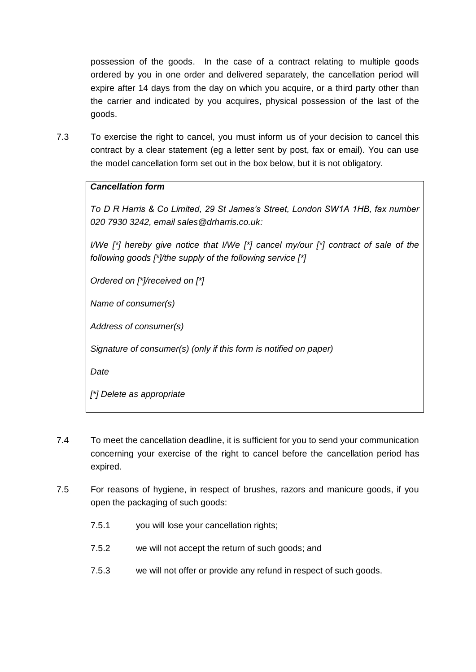possession of the goods. In the case of a contract relating to multiple goods ordered by you in one order and delivered separately, the cancellation period will expire after 14 days from the day on which you acquire, or a third party other than the carrier and indicated by you acquires, physical possession of the last of the goods.

7.3 To exercise the right to cancel, you must inform us of your decision to cancel this contract by a clear statement (eg a letter sent by post, fax or email). You can use the model cancellation form set out in the box below, but it is not obligatory.

## *Cancellation form*

*To D R Harris & Co Limited, 29 St James's Street, London SW1A 1HB, fax number 020 7930 3242, email sales@drharris.co.uk:*

*I/We [\*] hereby give notice that I/We [\*] cancel my/our [\*] contract of sale of the following goods [\*]/the supply of the following service [\*]*

*Ordered on [\*]/received on [\*]*

*Name of consumer(s)*

*Address of consumer(s)*

*Signature of consumer(s) (only if this form is notified on paper)*

*Date*

*[\*] Delete as appropriate*

- 7.4 To meet the cancellation deadline, it is sufficient for you to send your communication concerning your exercise of the right to cancel before the cancellation period has expired.
- <span id="page-3-0"></span>7.5 For reasons of hygiene, in respect of brushes, razors and manicure goods, if you open the packaging of such goods:
	- 7.5.1 you will lose your cancellation rights;
	- 7.5.2 we will not accept the return of such goods; and
	- 7.5.3 we will not offer or provide any refund in respect of such goods.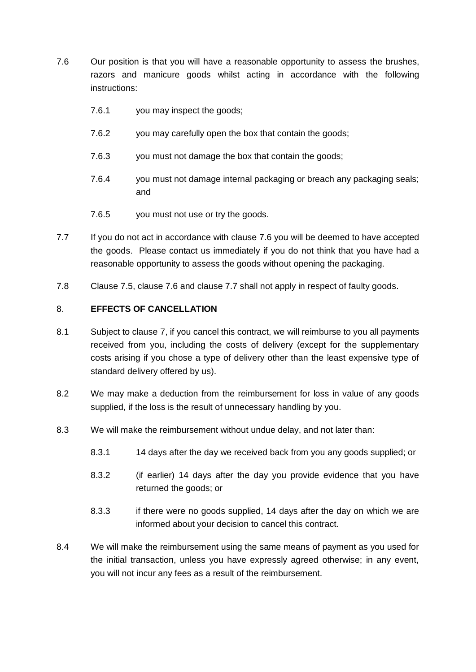- <span id="page-4-0"></span>7.6 Our position is that you will have a reasonable opportunity to assess the brushes, razors and manicure goods whilst acting in accordance with the following instructions:
	- 7.6.1 you may inspect the goods;
	- 7.6.2 you may carefully open the box that contain the goods;
	- 7.6.3 you must not damage the box that contain the goods;
	- 7.6.4 you must not damage internal packaging or breach any packaging seals; and
	- 7.6.5 you must not use or try the goods.
- <span id="page-4-1"></span>7.7 If you do not act in accordance with clause [7.6](#page-4-0) you will be deemed to have accepted the goods. Please contact us immediately if you do not think that you have had a reasonable opportunity to assess the goods without opening the packaging.
- 7.8 Clause [7.5,](#page-3-0) clause [7.6](#page-4-0) and clause [7.7](#page-4-1) shall not apply in respect of faulty goods.

#### <span id="page-4-2"></span>8. **EFFECTS OF CANCELLATION**

- 8.1 Subject to clause [7,](#page-2-0) if you cancel this contract, we will reimburse to you all payments received from you, including the costs of delivery (except for the supplementary costs arising if you chose a type of delivery other than the least expensive type of standard delivery offered by us).
- 8.2 We may make a deduction from the reimbursement for loss in value of any goods supplied, if the loss is the result of unnecessary handling by you.
- 8.3 We will make the reimbursement without undue delay, and not later than:
	- 8.3.1 14 days after the day we received back from you any goods supplied; or
	- 8.3.2 (if earlier) 14 days after the day you provide evidence that you have returned the goods; or
	- 8.3.3 if there were no goods supplied, 14 days after the day on which we are informed about your decision to cancel this contract.
- 8.4 We will make the reimbursement using the same means of payment as you used for the initial transaction, unless you have expressly agreed otherwise; in any event, you will not incur any fees as a result of the reimbursement.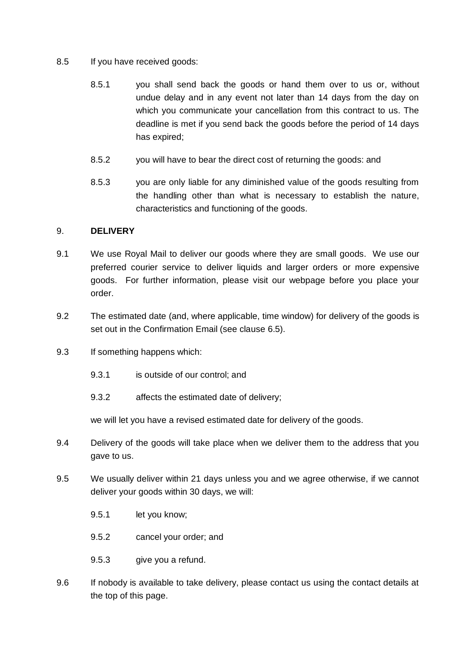### 8.5 If you have received goods:

- 8.5.1 you shall send back the goods or hand them over to us or, without undue delay and in any event not later than 14 days from the day on which you communicate your cancellation from this contract to us. The deadline is met if you send back the goods before the period of 14 days has expired;
- 8.5.2 you will have to bear the direct cost of returning the goods: and
- 8.5.3 you are only liable for any diminished value of the goods resulting from the handling other than what is necessary to establish the nature, characteristics and functioning of the goods.

#### 9. **DELIVERY**

- 9.1 We use Royal Mail to deliver our goods where they are small goods. We use our preferred courier service to deliver liquids and larger orders or more expensive goods. For further information, please visit our webpage before you place your order.
- 9.2 The estimated date (and, where applicable, time window) for delivery of the goods is set out in the Confirmation Email (see clause [6.5\)](#page-2-1).
- 9.3 If something happens which:
	- 9.3.1 is outside of our control: and
	- 9.3.2 affects the estimated date of delivery;

we will let you have a revised estimated date for delivery of the goods.

- 9.4 Delivery of the goods will take place when we deliver them to the address that you gave to us.
- 9.5 We usually deliver within 21 days unless you and we agree otherwise, if we cannot deliver your goods within 30 days, we will:
	- 9.5.1 let you know;
	- 9.5.2 cancel your order; and
	- 9.5.3 give you a refund.
- 9.6 If nobody is available to take delivery, please contact us using the contact details at the top of this page.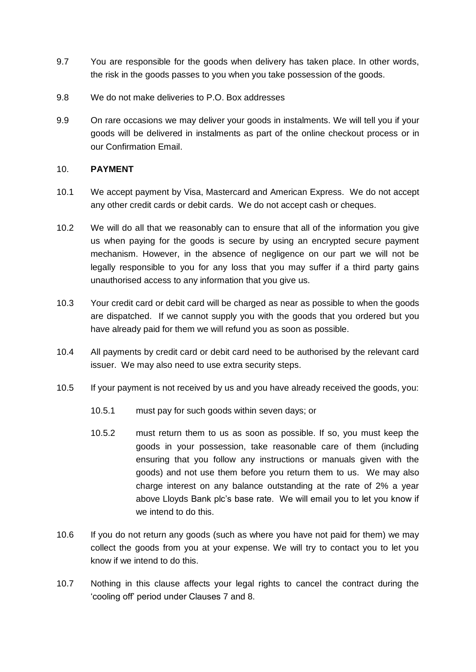- 9.7 You are responsible for the goods when delivery has taken place. In other words, the risk in the goods passes to you when you take possession of the goods.
- 9.8 We do not make deliveries to P.O. Box addresses
- 9.9 On rare occasions we may deliver your goods in instalments. We will tell you if your goods will be delivered in instalments as part of the online checkout process or in our Confirmation Email.

### 10. **PAYMENT**

- 10.1 We accept payment by Visa, Mastercard and American Express. We do not accept any other credit cards or debit cards. We do not accept cash or cheques.
- 10.2 We will do all that we reasonably can to ensure that all of the information you give us when paying for the goods is secure by using an encrypted secure payment mechanism. However, in the absence of negligence on our part we will not be legally responsible to you for any loss that you may suffer if a third party gains unauthorised access to any information that you give us.
- 10.3 Your credit card or debit card will be charged as near as possible to when the goods are dispatched. If we cannot supply you with the goods that you ordered but you have already paid for them we will refund you as soon as possible.
- 10.4 All payments by credit card or debit card need to be authorised by the relevant card issuer. We may also need to use extra security steps.
- 10.5 If your payment is not received by us and you have already received the goods, you:
	- 10.5.1 must pay for such goods within seven days; or
	- 10.5.2 must return them to us as soon as possible. If so, you must keep the goods in your possession, take reasonable care of them (including ensuring that you follow any instructions or manuals given with the goods) and not use them before you return them to us. We may also charge interest on any balance outstanding at the rate of 2% a year above Lloyds Bank plc's base rate. We will email you to let you know if we intend to do this.
- 10.6 If you do not return any goods (such as where you have not paid for them) we may collect the goods from you at your expense. We will try to contact you to let you know if we intend to do this.
- 10.7 Nothing in this clause affects your legal rights to cancel the contract during the 'cooling off' period under Clauses [7](#page-2-0) and [8.](#page-4-2)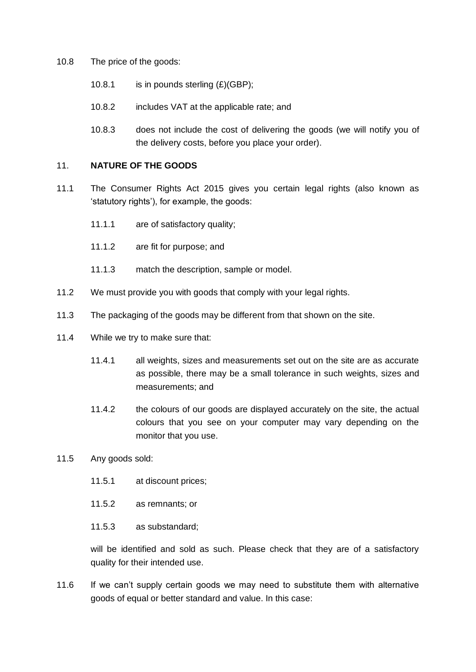- 10.8 The price of the goods:
	- 10.8.1 is in pounds sterling  $(E)(GBP)$ ;
	- 10.8.2 includes VAT at the applicable rate; and
	- 10.8.3 does not include the cost of delivering the goods (we will notify you of the delivery costs, before you place your order).

#### 11. **NATURE OF THE GOODS**

- 11.1 The Consumer Rights Act 2015 gives you certain legal rights (also known as 'statutory rights'), for example, the goods:
	- 11.1.1 are of satisfactory quality;
	- 11.1.2 are fit for purpose; and
	- 11.1.3 match the description, sample or model.
- 11.2 We must provide you with goods that comply with your legal rights.
- 11.3 The packaging of the goods may be different from that shown on the site.
- 11.4 While we try to make sure that:
	- 11.4.1 all weights, sizes and measurements set out on the site are as accurate as possible, there may be a small tolerance in such weights, sizes and measurements; and
	- 11.4.2 the colours of our goods are displayed accurately on the site, the actual colours that you see on your computer may vary depending on the monitor that you use.
- 11.5 Any goods sold:
	- 11.5.1 at discount prices;
	- 11.5.2 as remnants; or
	- 11.5.3 as substandard;

will be identified and sold as such. Please check that they are of a satisfactory quality for their intended use.

11.6 If we can't supply certain goods we may need to substitute them with alternative goods of equal or better standard and value. In this case: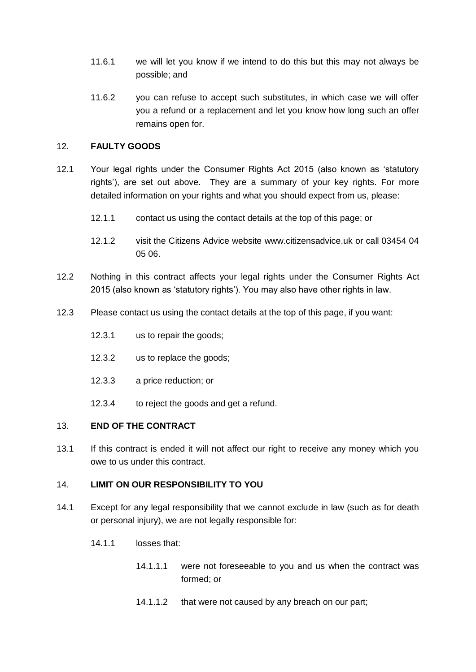- 11.6.1 we will let you know if we intend to do this but this may not always be possible; and
- 11.6.2 you can refuse to accept such substitutes, in which case we will offer you a refund or a replacement and let you know how long such an offer remains open for.

### 12. **FAULTY GOODS**

- 12.1 Your legal rights under the Consumer Rights Act 2015 (also known as 'statutory rights'), are set out above. They are a summary of your key rights. For more detailed information on your rights and what you should expect from us, please:
	- 12.1.1 contact us using the contact details at the top of this page; or
	- 12.1.2 visit the Citizens Advice website www.citizensadvice.uk or call 03454 04 05 06.
- 12.2 Nothing in this contract affects your legal rights under the Consumer Rights Act 2015 (also known as 'statutory rights'). You may also have other rights in law.
- 12.3 Please contact us using the contact details at the top of this page, if you want:
	- 12.3.1 us to repair the goods;
	- 12.3.2 us to replace the goods;
	- 12.3.3 a price reduction; or
	- 12.3.4 to reject the goods and get a refund.

#### 13. **END OF THE CONTRACT**

13.1 If this contract is ended it will not affect our right to receive any money which you owe to us under this contract.

#### 14. **LIMIT ON OUR RESPONSIBILITY TO YOU**

- 14.1 Except for any legal responsibility that we cannot exclude in law (such as for death or personal injury), we are not legally responsible for:
	- 14.1.1 losses that:
		- 14.1.1.1 were not foreseeable to you and us when the contract was formed; or
		- 14.1.1.2 that were not caused by any breach on our part;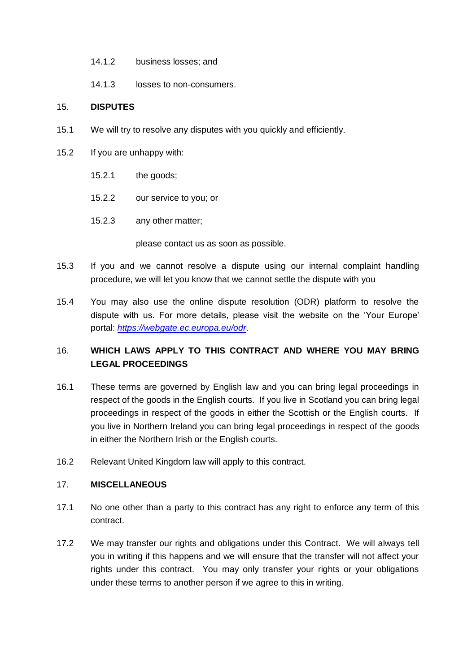- 14.1.2 business losses; and
- 14.1.3 losses to non-consumers.

#### 15. **DISPUTES**

- 15.1 We will try to resolve any disputes with you quickly and efficiently.
- 15.2 If you are unhappy with:
	- 15.2.1 the goods;
	- 15.2.2 our service to you; or
	- 15.2.3 any other matter;

please contact us as soon as possible.

- 15.3 If you and we cannot resolve a dispute using our internal complaint handling procedure, we will let you know that we cannot settle the dispute with you
- 15.4 You may also use the online dispute resolution (ODR) platform to resolve the dispute with us. For more details, please visit the website on the 'Your Europe' portal: *<https://webgate.ec.europa.eu/odr>*.

# 16. **WHICH LAWS APPLY TO THIS CONTRACT AND WHERE YOU MAY BRING LEGAL PROCEEDINGS**

- 16.1 These terms are governed by English law and you can bring legal proceedings in respect of the goods in the English courts. If you live in Scotland you can bring legal proceedings in respect of the goods in either the Scottish or the English courts. If you live in Northern Ireland you can bring legal proceedings in respect of the goods in either the Northern Irish or the English courts.
- 16.2 Relevant United Kingdom law will apply to this contract.

#### 17. **MISCELLANEOUS**

- 17.1 No one other than a party to this contract has any right to enforce any term of this contract.
- 17.2 We may transfer our rights and obligations under this Contract. We will always tell you in writing if this happens and we will ensure that the transfer will not affect your rights under this contract. You may only transfer your rights or your obligations under these terms to another person if we agree to this in writing.